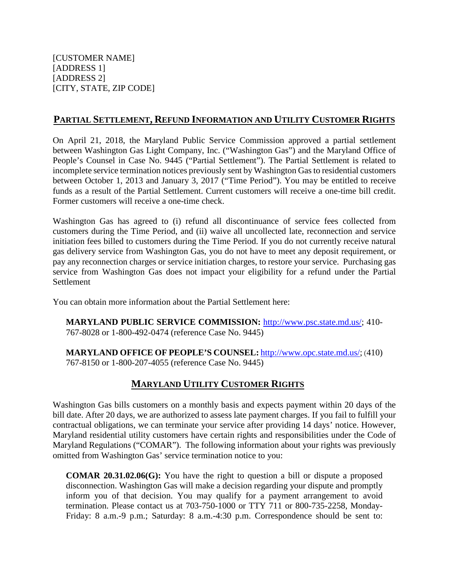## **PARTIAL SETTLEMENT, REFUND INFORMATION AND UTILITY CUSTOMER RIGHTS**

On April 21, 2018, the Maryland Public Service Commission approved a partial settlement between Washington Gas Light Company, Inc. ("Washington Gas") and the Maryland Office of People's Counsel in Case No. 9445 ("Partial Settlement"). The Partial Settlement is related to incomplete service termination notices previously sent by Washington Gas to residential customers between October 1, 2013 and January 3, 2017 ("Time Period"). You may be entitled to receive funds as a result of the Partial Settlement. Current customers will receive a one-time bill credit. Former customers will receive a one-time check.

Washington Gas has agreed to (i) refund all discontinuance of service fees collected from customers during the Time Period, and (ii) waive all uncollected late, reconnection and service initiation fees billed to customers during the Time Period. If you do not currently receive natural gas delivery service from Washington Gas, you do not have to meet any deposit requirement, or pay any reconnection charges or service initiation charges, to restore your service. Purchasing gas service from Washington Gas does not impact your eligibility for a refund under the Partial **Settlement** 

You can obtain more information about the Partial Settlement here:

**MARYLAND PUBLIC SERVICE COMMISSION:** [http://www.psc.state.md.us/;](http://www.psc.state.md.us/) 410- 767-8028 or 1-800-492-0474 (reference Case No. 9445)

**MARYLAND OFFICE OF PEOPLE'S COUNSEL:** [http://www.opc.state.md.us/;](http://www.opc.state.md.us/) (410) 767-8150 or 1-800-207-4055 (reference Case No. 9445)

## **MARYLAND UTILITY CUSTOMER RIGHTS**

Washington Gas bills customers on a monthly basis and expects payment within 20 days of the bill date. After 20 days, we are authorized to assess late payment charges. If you fail to fulfill your contractual obligations, we can terminate your service after providing 14 days' notice. However, Maryland residential utility customers have certain rights and responsibilities under the Code of Maryland Regulations ("COMAR"). The following information about your rights was previously omitted from Washington Gas' service termination notice to you:

**COMAR 20.31.02.06(G):** You have the right to question a bill or dispute a proposed disconnection. Washington Gas will make a decision regarding your dispute and promptly inform you of that decision. You may qualify for a payment arrangement to avoid termination. Please contact us at 703-750-1000 or TTY 711 or 800-735-2258, Monday-Friday: 8 a.m.-9 p.m.; Saturday: 8 a.m.-4:30 p.m. Correspondence should be sent to: